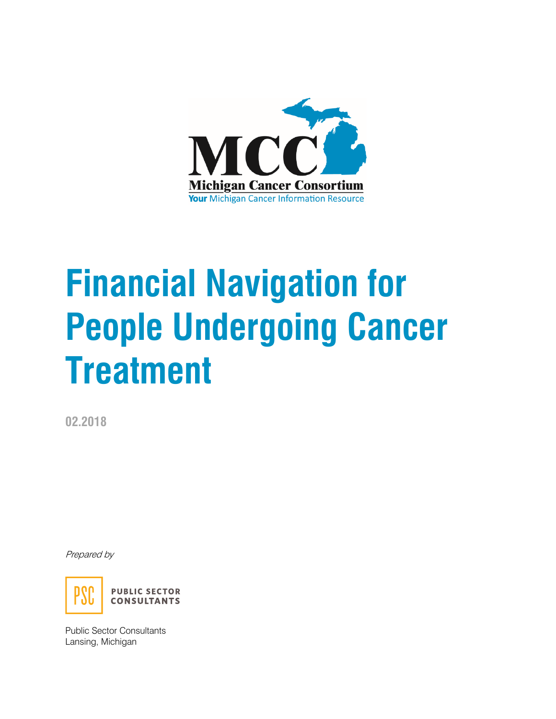

# **Financial Navigation for People Undergoing Cancer Treatment**

**02.2018**

Prepared by



Public Sector Consultants Lansing, Michigan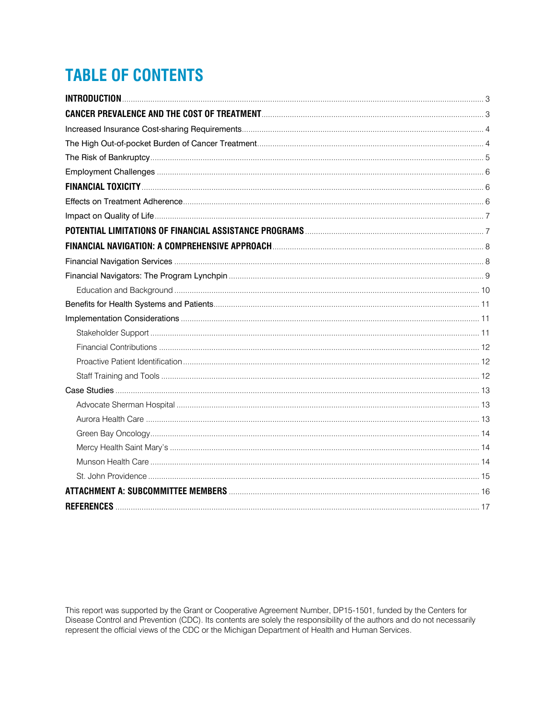# **TABLE OF CONTENTS**

| <b>CANCER PREVALENCE AND THE COST OF TREATMENT CONSUMING THE CONTRACT OF TREATMENT OF TREATMENT CONTROL</b> 3 |  |
|---------------------------------------------------------------------------------------------------------------|--|
|                                                                                                               |  |
|                                                                                                               |  |
|                                                                                                               |  |
|                                                                                                               |  |
|                                                                                                               |  |
|                                                                                                               |  |
|                                                                                                               |  |
|                                                                                                               |  |
|                                                                                                               |  |
|                                                                                                               |  |
|                                                                                                               |  |
|                                                                                                               |  |
|                                                                                                               |  |
|                                                                                                               |  |
|                                                                                                               |  |
|                                                                                                               |  |
|                                                                                                               |  |
|                                                                                                               |  |
|                                                                                                               |  |
|                                                                                                               |  |
|                                                                                                               |  |
|                                                                                                               |  |
|                                                                                                               |  |
|                                                                                                               |  |
|                                                                                                               |  |
|                                                                                                               |  |
|                                                                                                               |  |

This report was supported by the Grant or Cooperative Agreement Number, DP15-1501, funded by the Centers for Disease Control and Prevention (CDC). Its contents are solely the responsibility of the authors and do not necessarily represent the official views of the CDC or the Michigan Department of Health and Human Services.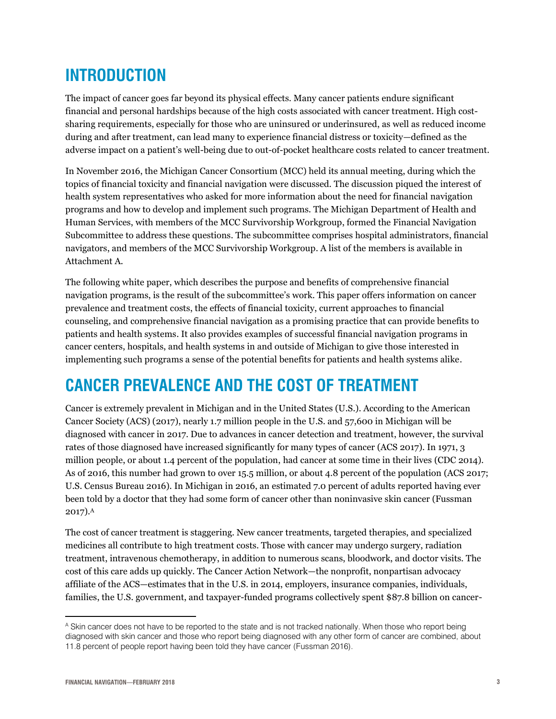# <span id="page-2-0"></span>**INTRODUCTION**

The impact of cancer goes far beyond its physical effects. Many cancer patients endure significant financial and personal hardships because of the high costs associated with cancer treatment. High costsharing requirements, especially for those who are uninsured or underinsured, as well as reduced income during and after treatment, can lead many to experience financial distress or toxicity—defined as the adverse impact on a patient's well-being due to out-of-pocket healthcare costs related to cancer treatment.

In November 2016, the Michigan Cancer Consortium (MCC) held its annual meeting, during which the topics of financial toxicity and financial navigation were discussed. The discussion piqued the interest of health system representatives who asked for more information about the need for financial navigation programs and how to develop and implement such programs. The Michigan Department of Health and Human Services, with members of the MCC Survivorship Workgroup, formed the Financial Navigation Subcommittee to address these questions. The subcommittee comprises hospital administrators, financial navigators, and members of the MCC Survivorship Workgroup. A list of the members is available in Attachment A.

The following white paper, which describes the purpose and benefits of comprehensive financial navigation programs, is the result of the subcommittee's work. This paper offers information on cancer prevalence and treatment costs, the effects of financial toxicity, current approaches to financial counseling, and comprehensive financial navigation as a promising practice that can provide benefits to patients and health systems. It also provides examples of successful financial navigation programs in cancer centers, hospitals, and health systems in and outside of Michigan to give those interested in implementing such programs a sense of the potential benefits for patients and health systems alike.

# <span id="page-2-1"></span>**CANCER PREVALENCE AND THE COST OF TREATMENT**

Cancer is extremely prevalent in Michigan and in the United States (U.S.). According to the American Cancer Society (ACS) (2017), nearly 1.7 million people in the U.S. and 57,600 in Michigan will be diagnosed with cancer in 2017. Due to advances in cancer detection and treatment, however, the survival rates of those diagnosed have increased significantly for many types of cancer (ACS 2017). In 1971, 3 million people, or about 1.4 percent of the population, had cancer at some time in their lives (CDC 2014). As of 2016, this number had grown to over 15.5 million, or about 4.8 percent of the population (ACS 2017; U.S. Census Bureau 2016). In Michigan in 2016, an estimated 7.0 percent of adults reported having ever been told by a doctor that they had some form of cancer other than noninvasive skin cancer (Fussman 2017). $^{\rm A}$ 

The cost of cancer treatment is staggering. New cancer treatments, targeted therapies, and specialized medicines all contribute to high treatment costs. Those with cancer may undergo surgery, radiation treatment, intravenous chemotherapy, in addition to numerous scans, bloodwork, and doctor visits. The cost of this care adds up quickly. The Cancer Action Network—the nonprofit, nonpartisan advocacy affiliate of the ACS—estimates that in the U.S. in 2014, employers, insurance companies, individuals, families, the U.S. government, and taxpayer-funded programs collectively spent \$87.8 billion on cancer-

 $\overline{a}$ A Skin cancer does not have to be reported to the state and is not tracked nationally. When those who report being diagnosed with skin cancer and those who report being diagnosed with any other form of cancer are combined, about 11.8 percent of people report having been told they have cancer (Fussman 2016).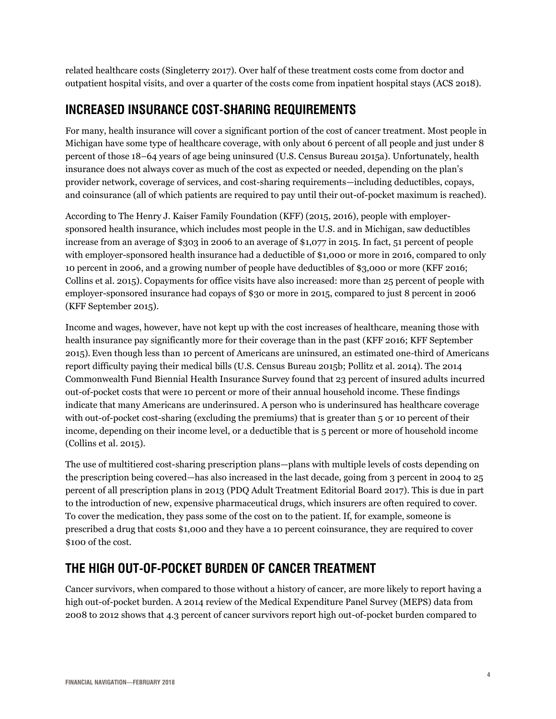related healthcare costs (Singleterry 2017). Over half of these treatment costs come from doctor and outpatient hospital visits, and over a quarter of the costs come from inpatient hospital stays (ACS 2018).

## <span id="page-3-0"></span>**INCREASED INSURANCE COST-SHARING REQUIREMENTS**

For many, health insurance will cover a significant portion of the cost of cancer treatment. Most people in Michigan have some type of healthcare coverage, with only about 6 percent of all people and just under 8 percent of those 18–64 years of age being uninsured (U.S. Census Bureau 2015a). Unfortunately, health insurance does not always cover as much of the cost as expected or needed, depending on the plan's provider network, coverage of services, and cost-sharing requirements—including deductibles, copays, and coinsurance (all of which patients are required to pay until their out-of-pocket maximum is reached).

According to The Henry J. Kaiser Family Foundation (KFF) (2015, 2016), people with employersponsored health insurance, which includes most people in the U.S. and in Michigan, saw deductibles increase from an average of \$303 in 2006 to an average of \$1,077 in 2015. In fact, 51 percent of people with employer-sponsored health insurance had a deductible of \$1,000 or more in 2016, compared to only 10 percent in 2006, and a growing number of people have deductibles of \$3,000 or more (KFF 2016; Collins et al. 2015). Copayments for office visits have also increased: more than 25 percent of people with employer-sponsored insurance had copays of \$30 or more in 2015, compared to just 8 percent in 2006 (KFF September 2015).

Income and wages, however, have not kept up with the cost increases of healthcare, meaning those with health insurance pay significantly more for their coverage than in the past (KFF 2016; KFF September 2015). Even though less than 10 percent of Americans are uninsured, an estimated one-third of Americans report difficulty paying their medical bills (U.S. Census Bureau 2015b; Pollitz et al. 2014). The 2014 Commonwealth Fund Biennial Health Insurance Survey found that 23 percent of insured adults incurred out-of-pocket costs that were 10 percent or more of their annual household income. These findings indicate that many Americans are underinsured. A person who is underinsured has healthcare coverage with out-of-pocket cost-sharing (excluding the premiums) that is greater than 5 or 10 percent of their income, depending on their income level, or a deductible that is 5 percent or more of household income (Collins et al. 2015).

The use of multitiered cost-sharing prescription plans—plans with multiple levels of costs depending on the prescription being covered—has also increased in the last decade, going from 3 percent in 2004 to 25 percent of all prescription plans in 2013 (PDQ Adult Treatment Editorial Board 2017). This is due in part to the introduction of new, expensive pharmaceutical drugs, which insurers are often required to cover. To cover the medication, they pass some of the cost on to the patient. If, for example, someone is prescribed a drug that costs \$1,000 and they have a 10 percent coinsurance, they are required to cover \$100 of the cost.

## <span id="page-3-1"></span>**THE HIGH OUT-OF-POCKET BURDEN OF CANCER TREATMENT**

Cancer survivors, when compared to those without a history of cancer, are more likely to report having a high out-of-pocket burden. A 2014 review of the Medical Expenditure Panel Survey (MEPS) data from 2008 to 2012 shows that 4.3 percent of cancer survivors report high out-of-pocket burden compared to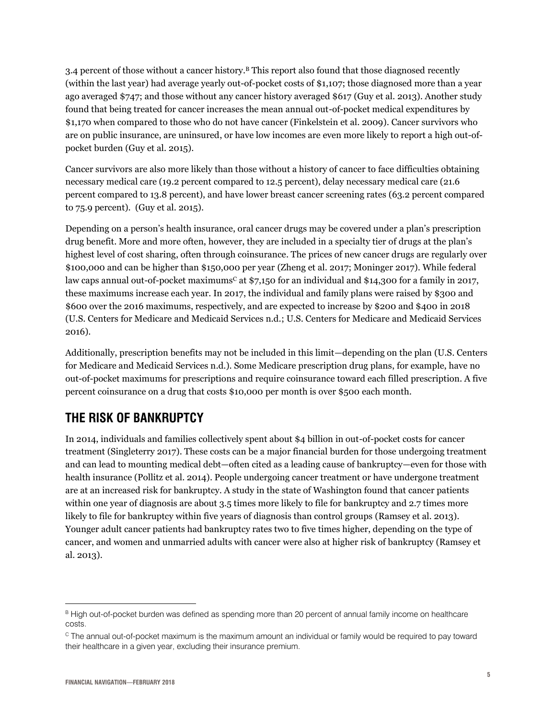3.4 percent of those without a cancer history.<sup>B</sup> This report also found that those diagnosed recently (within the last year) had average yearly out-of-pocket costs of \$1,107; those diagnosed more than a year ago averaged \$747; and those without any cancer history averaged \$617 (Guy et al. 2013). Another study found that being treated for cancer increases the mean annual out-of-pocket medical expenditures by \$1,170 when compared to those who do not have cancer (Finkelstein et al. 2009). Cancer survivors who are on public insurance, are uninsured, or have low incomes are even more likely to report a high out-ofpocket burden (Guy et al. 2015).

Cancer survivors are also more likely than those without a history of cancer to face difficulties obtaining necessary medical care (19.2 percent compared to 12.5 percent), delay necessary medical care (21.6 percent compared to 13.8 percent), and have lower breast cancer screening rates (63.2 percent compared to 75.9 percent). (Guy et al. 2015).

Depending on a person's health insurance, oral cancer drugs may be covered under a plan's prescription drug benefit. More and more often, however, they are included in a specialty tier of drugs at the plan's highest level of cost sharing, often through coinsurance. The prices of new cancer drugs are regularly over \$100,000 and can be higher than \$150,000 per year (Zheng et al. 2017; Moninger 2017). While federal law caps annual out-of-pocket maximums<sup>c</sup> at \$7,150 for an individual and \$14,300 for a family in 2017, these maximums increase each year. In 2017, the individual and family plans were raised by \$300 and \$600 over the 2016 maximums, respectively, and are expected to increase by \$200 and \$400 in 2018 (U.S. Centers for Medicare and Medicaid Services n.d.; U.S. Centers for Medicare and Medicaid Services 2016).

Additionally, prescription benefits may not be included in this limit—depending on the plan (U.S. Centers for Medicare and Medicaid Services n.d.). Some Medicare prescription drug plans, for example, have no out-of-pocket maximums for prescriptions and require coinsurance toward each filled prescription. A five percent coinsurance on a drug that costs \$10,000 per month is over \$500 each month.

## <span id="page-4-0"></span>**THE RISK OF BANKRUPTCY**

In 2014, individuals and families collectively spent about \$4 billion in out-of-pocket costs for cancer treatment (Singleterry 2017). These costs can be a major financial burden for those undergoing treatment and can lead to mounting medical debt—often cited as a leading cause of bankruptcy—even for those with health insurance (Pollitz et al. 2014). People undergoing cancer treatment or have undergone treatment are at an increased risk for bankruptcy. A study in the state of Washington found that cancer patients within one year of diagnosis are about 3.5 times more likely to file for bankruptcy and 2.7 times more likely to file for bankruptcy within five years of diagnosis than control groups (Ramsey et al. 2013). Younger adult cancer patients had bankruptcy rates two to five times higher, depending on the type of cancer, and women and unmarried adults with cancer were also at higher risk of bankruptcy (Ramsey et al. 2013).

 $\overline{a}$ B High out-of-pocket burden was defined as spending more than 20 percent of annual family income on healthcare costs.

<sup>C</sup> The annual out-of-pocket maximum is the maximum amount an individual or family would be required to pay toward their healthcare in a given year, excluding their insurance premium.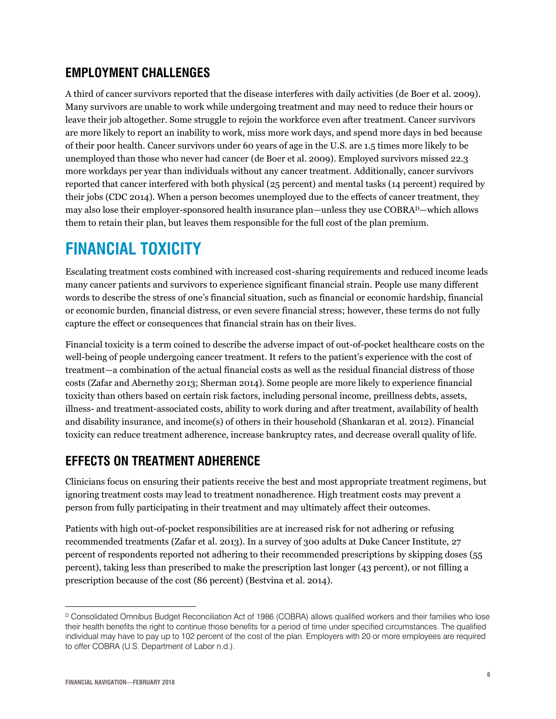### <span id="page-5-0"></span>**EMPLOYMENT CHALLENGES**

A third of cancer survivors reported that the disease interferes with daily activities (de Boer et al. 2009). Many survivors are unable to work while undergoing treatment and may need to reduce their hours or leave their job altogether. Some struggle to rejoin the workforce even after treatment. Cancer survivors are more likely to report an inability to work, miss more work days, and spend more days in bed because of their poor health. Cancer survivors under 60 years of age in the U.S. are 1.5 times more likely to be unemployed than those who never had cancer (de Boer et al. 2009). Employed survivors missed 22.3 more workdays per year than individuals without any cancer treatment. Additionally, cancer survivors reported that cancer interfered with both physical (25 percent) and mental tasks (14 percent) required by their jobs (CDC 2014). When a person becomes unemployed due to the effects of cancer treatment, they may also lose their employer-sponsored health insurance plan—unless they use COBRAD—which allows them to retain their plan, but leaves them responsible for the full cost of the plan premium.

# <span id="page-5-1"></span>**FINANCIAL TOXICITY**

Escalating treatment costs combined with increased cost-sharing requirements and reduced income leads many cancer patients and survivors to experience significant financial strain. People use many different words to describe the stress of one's financial situation, such as financial or economic hardship, financial or economic burden, financial distress, or even severe financial stress; however, these terms do not fully capture the effect or consequences that financial strain has on their lives.

Financial toxicity is a term coined to describe the adverse impact of out-of-pocket healthcare costs on the well-being of people undergoing cancer treatment. It refers to the patient's experience with the cost of treatment—a combination of the actual financial costs as well as the residual financial distress of those costs (Zafar and Abernethy 2013; Sherman 2014). Some people are more likely to experience financial toxicity than others based on certain risk factors, including personal income, preillness debts, assets, illness- and treatment-associated costs, ability to work during and after treatment, availability of health and disability insurance, and income(s) of others in their household (Shankaran et al. 2012). Financial toxicity can reduce treatment adherence, increase bankruptcy rates, and decrease overall quality of life.

## <span id="page-5-2"></span>**EFFECTS ON TREATMENT ADHERENCE**

Clinicians focus on ensuring their patients receive the best and most appropriate treatment regimens, but ignoring treatment costs may lead to treatment nonadherence. High treatment costs may prevent a person from fully participating in their treatment and may ultimately affect their outcomes.

Patients with high out-of-pocket responsibilities are at increased risk for not adhering or refusing recommended treatments (Zafar et al. 2013). In a survey of 300 adults at Duke Cancer Institute, 27 percent of respondents reported not adhering to their recommended prescriptions by skipping doses (55 percent), taking less than prescribed to make the prescription last longer (43 percent), or not filling a prescription because of the cost (86 percent) (Bestvina et al. 2014).

 $\overline{a}$ <sup>D</sup> Consolidated Omnibus Budget Reconciliation Act of 1986 (COBRA) allows qualified workers and their families who lose their health benefits the right to continue those benefits for a period of time under specified circumstances. The qualified individual may have to pay up to 102 percent of the cost of the plan. Employers with 20 or more employees are required to offer COBRA (U.S. Department of Labor n.d.).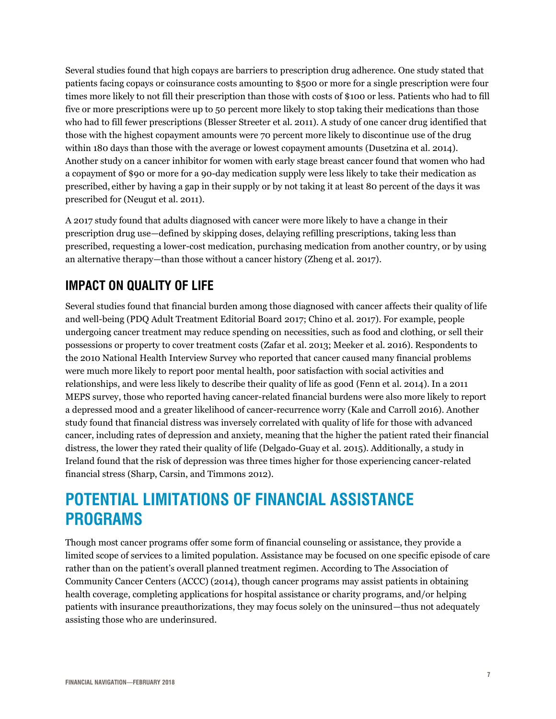Several studies found that high copays are barriers to prescription drug adherence. One study stated that patients facing copays or coinsurance costs amounting to \$500 or more for a single prescription were four times more likely to not fill their prescription than those with costs of \$100 or less. Patients who had to fill five or more prescriptions were up to 50 percent more likely to stop taking their medications than those who had to fill fewer prescriptions (Blesser Streeter et al. 2011). A study of one cancer drug identified that those with the highest copayment amounts were 70 percent more likely to discontinue use of the drug within 180 days than those with the average or lowest copayment amounts (Dusetzina et al. 2014). Another study on a cancer inhibitor for women with early stage breast cancer found that women who had a copayment of \$90 or more for a 90-day medication supply were less likely to take their medication as prescribed, either by having a gap in their supply or by not taking it at least 80 percent of the days it was prescribed for (Neugut et al. 2011).

A 2017 study found that adults diagnosed with cancer were more likely to have a change in their prescription drug use—defined by skipping doses, delaying refilling prescriptions, taking less than prescribed, requesting a lower-cost medication, purchasing medication from another country, or by using an alternative therapy—than those without a cancer history (Zheng et al. 2017).

## <span id="page-6-0"></span>**IMPACT ON QUALITY OF LIFE**

Several studies found that financial burden among those diagnosed with cancer affects their quality of life and well-being (PDQ Adult Treatment Editorial Board 2017; Chino et al. 2017). For example, people undergoing cancer treatment may reduce spending on necessities, such as food and clothing, or sell their possessions or property to cover treatment costs (Zafar et al. 2013; Meeker et al. 2016). Respondents to the 2010 National Health Interview Survey who reported that cancer caused many financial problems were much more likely to report poor mental health, poor satisfaction with social activities and relationships, and were less likely to describe their quality of life as good (Fenn et al. 2014). In a 2011 MEPS survey, those who reported having cancer-related financial burdens were also more likely to report a depressed mood and a greater likelihood of cancer-recurrence worry (Kale and Carroll 2016). Another study found that financial distress was inversely correlated with quality of life for those with advanced cancer, including rates of depression and anxiety, meaning that the higher the patient rated their financial distress, the lower they rated their quality of life (Delgado-Guay et al. 2015). Additionally, a study in Ireland found that the risk of depression was three times higher for those experiencing cancer-related financial stress (Sharp, Carsin, and Timmons 2012).

# <span id="page-6-1"></span>**POTENTIAL LIMITATIONS OF FINANCIAL ASSISTANCE PROGRAMS**

Though most cancer programs offer some form of financial counseling or assistance, they provide a limited scope of services to a limited population. Assistance may be focused on one specific episode of care rather than on the patient's overall planned treatment regimen. According to The Association of Community Cancer Centers (ACCC) (2014), though cancer programs may assist patients in obtaining health coverage, completing applications for hospital assistance or charity programs, and/or helping patients with insurance preauthorizations, they may focus solely on the uninsured—thus not adequately assisting those who are underinsured.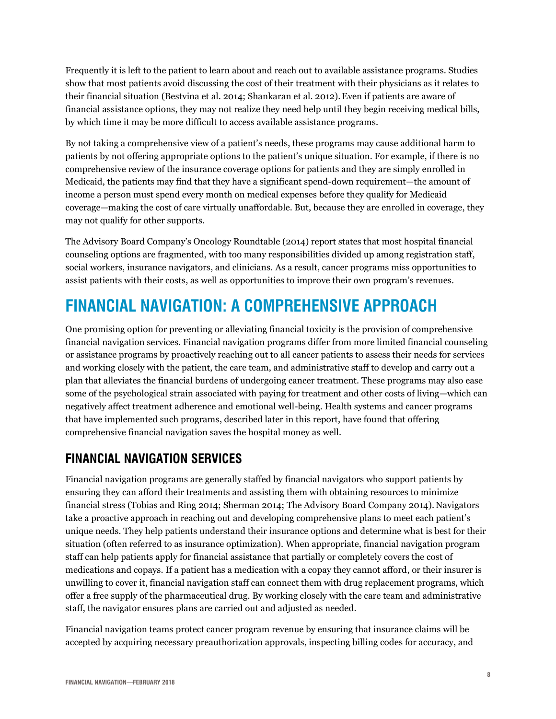Frequently it is left to the patient to learn about and reach out to available assistance programs. Studies show that most patients avoid discussing the cost of their treatment with their physicians as it relates to their financial situation (Bestvina et al. 2014; Shankaran et al. 2012).Even if patients are aware of financial assistance options, they may not realize they need help until they begin receiving medical bills, by which time it may be more difficult to access available assistance programs.

By not taking a comprehensive view of a patient's needs, these programs may cause additional harm to patients by not offering appropriate options to the patient's unique situation. For example, if there is no comprehensive review of the insurance coverage options for patients and they are simply enrolled in Medicaid, the patients may find that they have a significant spend-down requirement—the amount of income a person must spend every month on medical expenses before they qualify for Medicaid coverage—making the cost of care virtually unaffordable. But, because they are enrolled in coverage, they may not qualify for other supports.

The Advisory Board Company's Oncology Roundtable (2014) report states that most hospital financial counseling options are fragmented, with too many responsibilities divided up among registration staff, social workers, insurance navigators, and clinicians. As a result, cancer programs miss opportunities to assist patients with their costs, as well as opportunities to improve their own program's revenues.

# <span id="page-7-0"></span>**FINANCIAL NAVIGATION: A COMPREHENSIVE APPROACH**

One promising option for preventing or alleviating financial toxicity is the provision of comprehensive financial navigation services. Financial navigation programs differ from more limited financial counseling or assistance programs by proactively reaching out to all cancer patients to assess their needs for services and working closely with the patient, the care team, and administrative staff to develop and carry out a plan that alleviates the financial burdens of undergoing cancer treatment. These programs may also ease some of the psychological strain associated with paying for treatment and other costs of living—which can negatively affect treatment adherence and emotional well-being. Health systems and cancer programs that have implemented such programs, described later in this report, have found that offering comprehensive financial navigation saves the hospital money as well.

## <span id="page-7-1"></span>**FINANCIAL NAVIGATION SERVICES**

Financial navigation programs are generally staffed by financial navigators who support patients by ensuring they can afford their treatments and assisting them with obtaining resources to minimize financial stress (Tobias and Ring 2014; Sherman 2014; The Advisory Board Company 2014).Navigators take a proactive approach in reaching out and developing comprehensive plans to meet each patient's unique needs. They help patients understand their insurance options and determine what is best for their situation (often referred to as insurance optimization). When appropriate, financial navigation program staff can help patients apply for financial assistance that partially or completely covers the cost of medications and copays. If a patient has a medication with a copay they cannot afford, or their insurer is unwilling to cover it, financial navigation staff can connect them with drug replacement programs, which offer a free supply of the pharmaceutical drug. By working closely with the care team and administrative staff, the navigator ensures plans are carried out and adjusted as needed.

Financial navigation teams protect cancer program revenue by ensuring that insurance claims will be accepted by acquiring necessary preauthorization approvals, inspecting billing codes for accuracy, and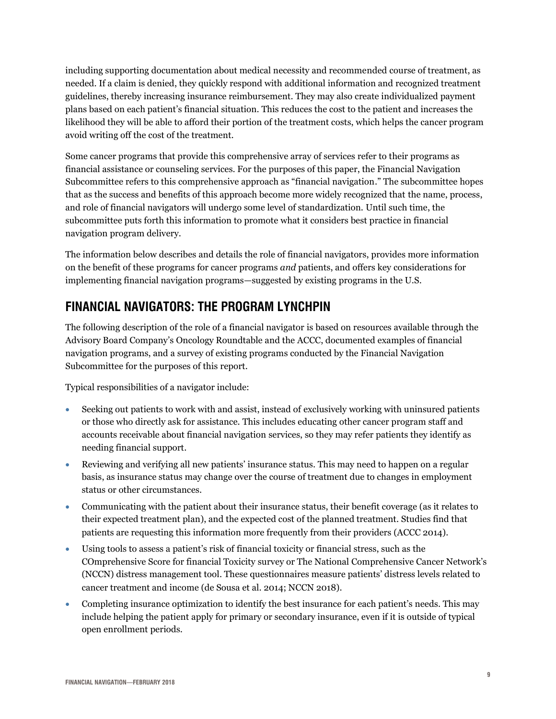including supporting documentation about medical necessity and recommended course of treatment, as needed. If a claim is denied, they quickly respond with additional information and recognized treatment guidelines, thereby increasing insurance reimbursement. They may also create individualized payment plans based on each patient's financial situation. This reduces the cost to the patient and increases the likelihood they will be able to afford their portion of the treatment costs, which helps the cancer program avoid writing off the cost of the treatment.

Some cancer programs that provide this comprehensive array of services refer to their programs as financial assistance or counseling services. For the purposes of this paper, the Financial Navigation Subcommittee refers to this comprehensive approach as "financial navigation." The subcommittee hopes that as the success and benefits of this approach become more widely recognized that the name, process, and role of financial navigators will undergo some level of standardization. Until such time, the subcommittee puts forth this information to promote what it considers best practice in financial navigation program delivery.

The information below describes and details the role of financial navigators, provides more information on the benefit of these programs for cancer programs *and* patients, and offers key considerations for implementing financial navigation programs—suggested by existing programs in the U.S.

## <span id="page-8-0"></span>**FINANCIAL NAVIGATORS: THE PROGRAM LYNCHPIN**

The following description of the role of a financial navigator is based on resources available through the Advisory Board Company's Oncology Roundtable and the ACCC, documented examples of financial navigation programs, and a survey of existing programs conducted by the Financial Navigation Subcommittee for the purposes of this report.

Typical responsibilities of a navigator include:

- Seeking out patients to work with and assist, instead of exclusively working with uninsured patients or those who directly ask for assistance. This includes educating other cancer program staff and accounts receivable about financial navigation services, so they may refer patients they identify as needing financial support.
- Reviewing and verifying all new patients' insurance status. This may need to happen on a regular basis, as insurance status may change over the course of treatment due to changes in employment status or other circumstances.
- Communicating with the patient about their insurance status, their benefit coverage (as it relates to their expected treatment plan), and the expected cost of the planned treatment. Studies find that patients are requesting this information more frequently from their providers (ACCC 2014).
- Using tools to assess a patient's risk of financial toxicity or financial stress, such as the COmprehensive Score for financial Toxicity survey or The National Comprehensive Cancer Network's (NCCN) distress management tool. These questionnaires measure patients' distress levels related to cancer treatment and income (de Sousa et al. 2014; NCCN 2018).
- Completing insurance optimization to identify the best insurance for each patient's needs. This may include helping the patient apply for primary or secondary insurance, even if it is outside of typical open enrollment periods.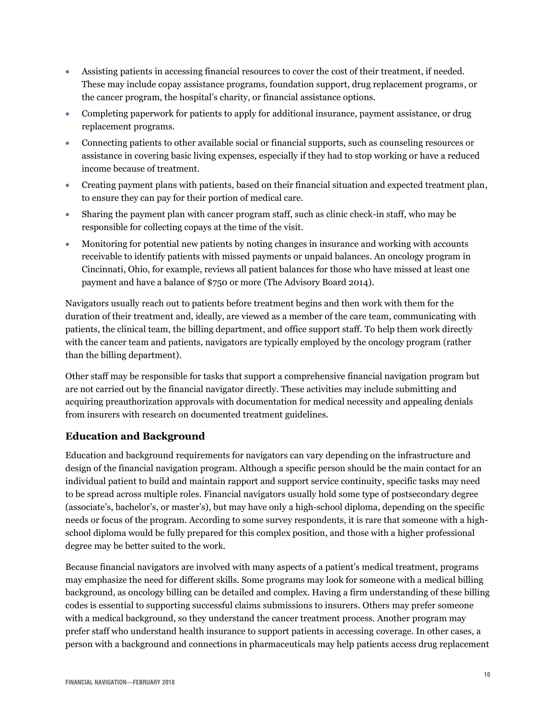- Assisting patients in accessing financial resources to cover the cost of their treatment, if needed. These may include copay assistance programs, foundation support, drug replacement programs, or the cancer program, the hospital's charity, or financial assistance options.
- Completing paperwork for patients to apply for additional insurance, payment assistance, or drug replacement programs.
- Connecting patients to other available social or financial supports, such as counseling resources or assistance in covering basic living expenses, especially if they had to stop working or have a reduced income because of treatment.
- Creating payment plans with patients, based on their financial situation and expected treatment plan, to ensure they can pay for their portion of medical care.
- Sharing the payment plan with cancer program staff, such as clinic check-in staff, who may be responsible for collecting copays at the time of the visit.
- Monitoring for potential new patients by noting changes in insurance and working with accounts receivable to identify patients with missed payments or unpaid balances. An oncology program in Cincinnati, Ohio, for example, reviews all patient balances for those who have missed at least one payment and have a balance of \$750 or more (The Advisory Board 2014).

Navigators usually reach out to patients before treatment begins and then work with them for the duration of their treatment and, ideally, are viewed as a member of the care team, communicating with patients, the clinical team, the billing department, and office support staff. To help them work directly with the cancer team and patients, navigators are typically employed by the oncology program (rather than the billing department).

Other staff may be responsible for tasks that support a comprehensive financial navigation program but are not carried out by the financial navigator directly. These activities may include submitting and acquiring preauthorization approvals with documentation for medical necessity and appealing denials from insurers with research on documented treatment guidelines.

#### <span id="page-9-0"></span>**Education and Background**

Education and background requirements for navigators can vary depending on the infrastructure and design of the financial navigation program. Although a specific person should be the main contact for an individual patient to build and maintain rapport and support service continuity, specific tasks may need to be spread across multiple roles. Financial navigators usually hold some type of postsecondary degree (associate's, bachelor's, or master's), but may have only a high-school diploma, depending on the specific needs or focus of the program. According to some survey respondents, it is rare that someone with a highschool diploma would be fully prepared for this complex position, and those with a higher professional degree may be better suited to the work.

Because financial navigators are involved with many aspects of a patient's medical treatment, programs may emphasize the need for different skills. Some programs may look for someone with a medical billing background, as oncology billing can be detailed and complex. Having a firm understanding of these billing codes is essential to supporting successful claims submissions to insurers. Others may prefer someone with a medical background, so they understand the cancer treatment process. Another program may prefer staff who understand health insurance to support patients in accessing coverage. In other cases, a person with a background and connections in pharmaceuticals may help patients access drug replacement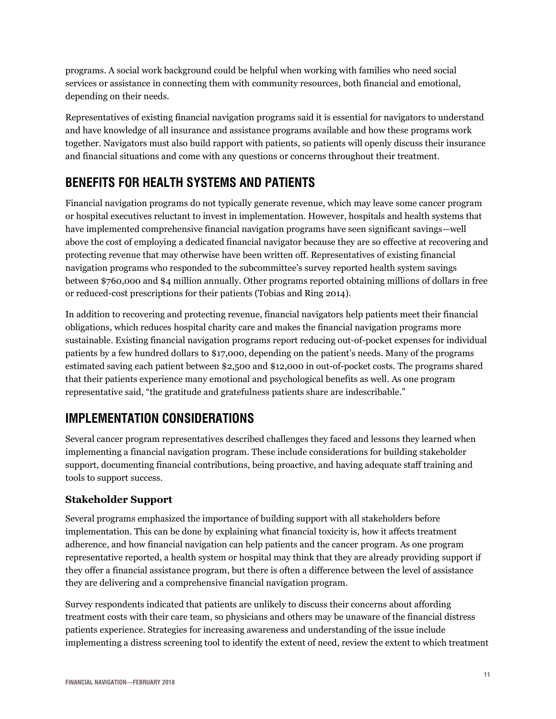programs. A social work background could be helpful when working with families who need social services or assistance in connecting them with community resources, both financial and emotional, depending on their needs.

Representatives of existing financial navigation programs said it is essential for navigators to understand and have knowledge of all insurance and assistance programs available and how these programs work together. Navigators must also build rapport with patients, so patients will openly discuss their insurance and financial situations and come with any questions or concerns throughout their treatment.

## <span id="page-10-0"></span>**BENEFITS FOR HEALTH SYSTEMS AND PATIENTS**

Financial navigation programs do not typically generate revenue, which may leave some cancer program or hospital executives reluctant to invest in implementation. However, hospitals and health systems that have implemented comprehensive financial navigation programs have seen significant savings—well above the cost of employing a dedicated financial navigator because they are so effective at recovering and protecting revenue that may otherwise have been written off. Representatives of existing financial navigation programs who responded to the subcommittee's survey reported health system savings between \$760,000 and \$4 million annually. Other programs reported obtaining millions of dollars in free or reduced-cost prescriptions for their patients (Tobias and Ring 2014).

In addition to recovering and protecting revenue, financial navigators help patients meet their financial obligations, which reduces hospital charity care and makes the financial navigation programs more sustainable. Existing financial navigation programs report reducing out-of-pocket expenses for individual patients by a few hundred dollars to \$17,000, depending on the patient's needs. Many of the programs estimated saving each patient between \$2,500 and \$12,000 in out-of-pocket costs. The programs shared that their patients experience many emotional and psychological benefits as well. As one program representative said, "the gratitude and gratefulness patients share are indescribable."

## <span id="page-10-1"></span>**IMPLEMENTATION CONSIDERATIONS**

Several cancer program representatives described challenges they faced and lessons they learned when implementing a financial navigation program. These include considerations for building stakeholder support, documenting financial contributions, being proactive, and having adequate staff training and tools to support success.

#### <span id="page-10-2"></span>**Stakeholder Support**

Several programs emphasized the importance of building support with all stakeholders before implementation. This can be done by explaining what financial toxicity is, how it affects treatment adherence, and how financial navigation can help patients and the cancer program. As one program representative reported, a health system or hospital may think that they are already providing support if they offer a financial assistance program, but there is often a difference between the level of assistance they are delivering and a comprehensive financial navigation program.

Survey respondents indicated that patients are unlikely to discuss their concerns about affording treatment costs with their care team, so physicians and others may be unaware of the financial distress patients experience. Strategies for increasing awareness and understanding of the issue include implementing a distress screening tool to identify the extent of need, review the extent to which treatment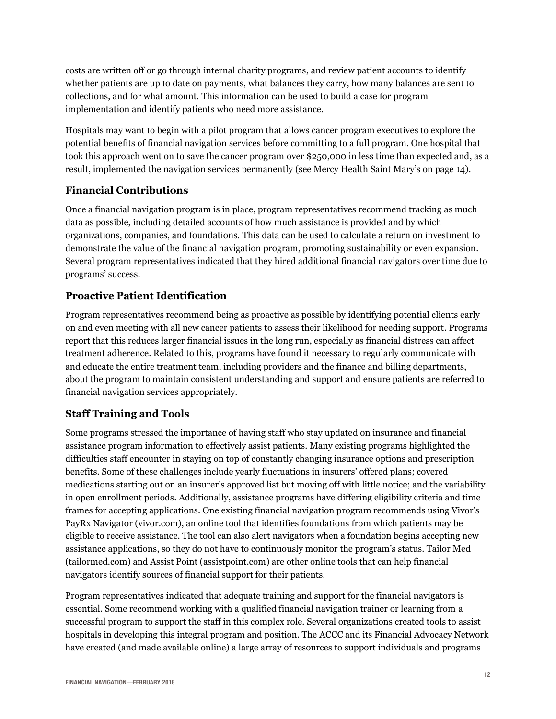costs are written off or go through internal charity programs, and review patient accounts to identify whether patients are up to date on payments, what balances they carry, how many balances are sent to collections, and for what amount. This information can be used to build a case for program implementation and identify patients who need more assistance.

Hospitals may want to begin with a pilot program that allows cancer program executives to explore the potential benefits of financial navigation services before committing to a full program. One hospital that took this approach went on to save the cancer program over \$250,000 in less time than expected and, as a result, implemented the navigation services permanently (see Mercy Health Saint Mary's on page 14).

#### <span id="page-11-0"></span>**Financial Contributions**

Once a financial navigation program is in place, program representatives recommend tracking as much data as possible, including detailed accounts of how much assistance is provided and by which organizations, companies, and foundations. This data can be used to calculate a return on investment to demonstrate the value of the financial navigation program, promoting sustainability or even expansion. Several program representatives indicated that they hired additional financial navigators over time due to programs' success.

#### <span id="page-11-1"></span>**Proactive Patient Identification**

Program representatives recommend being as proactive as possible by identifying potential clients early on and even meeting with all new cancer patients to assess their likelihood for needing support. Programs report that this reduces larger financial issues in the long run, especially as financial distress can affect treatment adherence. Related to this, programs have found it necessary to regularly communicate with and educate the entire treatment team, including providers and the finance and billing departments, about the program to maintain consistent understanding and support and ensure patients are referred to financial navigation services appropriately.

#### <span id="page-11-2"></span>**Staff Training and Tools**

Some programs stressed the importance of having staff who stay updated on insurance and financial assistance program information to effectively assist patients. Many existing programs highlighted the difficulties staff encounter in staying on top of constantly changing insurance options and prescription benefits. Some of these challenges include yearly fluctuations in insurers' offered plans; covered medications starting out on an insurer's approved list but moving off with little notice; and the variability in open enrollment periods. Additionally, assistance programs have differing eligibility criteria and time frames for accepting applications. One existing financial navigation program recommends using Vivor's PayRx Navigator (vivor.com), an online tool that identifies foundations from which patients may be eligible to receive assistance. The tool can also alert navigators when a foundation begins accepting new assistance applications, so they do not have to continuously monitor the program's status. Tailor Med (tailormed.com) and Assist Point [\(assistpoint.com\)](https://assistpoint.com/) are other online tools that can help financial navigators identify sources of financial support for their patients.

Program representatives indicated that adequate training and support for the financial navigators is essential. Some recommend working with a qualified financial navigation trainer or learning from a successful program to support the staff in this complex role. Several organizations created tools to assist hospitals in developing this integral program and position. The ACCC and its Financial Advocacy Network have created (and made available online) a large array of resources to support individuals and programs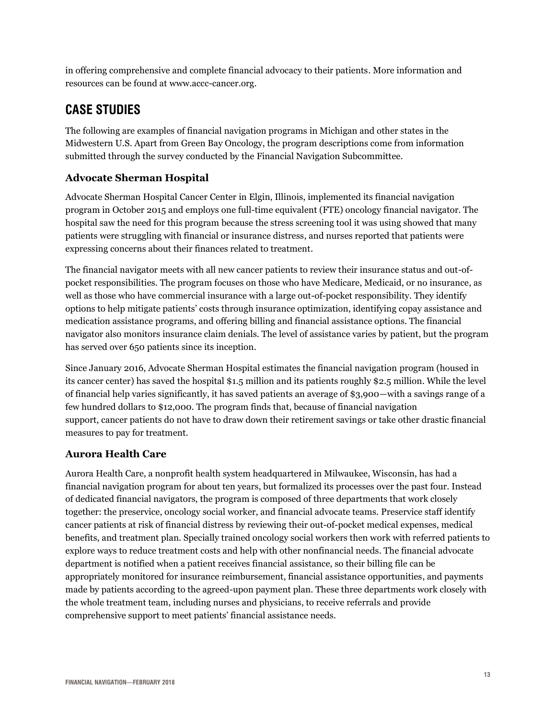in offering comprehensive and complete financial advocacy to their patients. More information and resources can be found at www.accc-cancer.org.

## <span id="page-12-0"></span>**CASE STUDIES**

The following are examples of financial navigation programs in Michigan and other states in the Midwestern U.S. Apart from Green Bay Oncology, the program descriptions come from information submitted through the survey conducted by the Financial Navigation Subcommittee.

#### <span id="page-12-1"></span>**Advocate Sherman Hospital**

Advocate Sherman Hospital Cancer Center in Elgin, Illinois, implemented its financial navigation program in October 2015 and employs one full-time equivalent (FTE) oncology financial navigator. The hospital saw the need for this program because the stress screening tool it was using showed that many patients were struggling with financial or insurance distress, and nurses reported that patients were expressing concerns about their finances related to treatment.

The financial navigator meets with all new cancer patients to review their insurance status and out-ofpocket responsibilities. The program focuses on those who have Medicare, Medicaid, or no insurance, as well as those who have commercial insurance with a large out-of-pocket responsibility. They identify options to help mitigate patients' costs through insurance optimization, identifying copay assistance and medication assistance programs, and offering billing and financial assistance options. The financial navigator also monitors insurance claim denials. The level of assistance varies by patient, but the program has served over 650 patients since its inception.

Since January 2016, Advocate Sherman Hospital estimates the financial navigation program (housed in its cancer center) has saved the hospital \$1.5 million and its patients roughly \$2.5 million. While the level of financial help varies significantly, it has saved patients an average of \$3,900—with a savings range of a few hundred dollars to \$12,000. The program finds that, because of financial navigation support, cancer patients do not have to draw down their retirement savings or take other drastic financial measures to pay for treatment.

#### <span id="page-12-2"></span>**Aurora Health Care**

Aurora Health Care, a nonprofit health system headquartered in Milwaukee, Wisconsin, has had a financial navigation program for about ten years, but formalized its processes over the past four. Instead of dedicated financial navigators, the program is composed of three departments that work closely together: the preservice, oncology social worker, and financial advocate teams. Preservice staff identify cancer patients at risk of financial distress by reviewing their out-of-pocket medical expenses, medical benefits, and treatment plan. Specially trained oncology social workers then work with referred patients to explore ways to reduce treatment costs and help with other nonfinancial needs. The financial advocate department is notified when a patient receives financial assistance, so their billing file can be appropriately monitored for insurance reimbursement, financial assistance opportunities, and payments made by patients according to the agreed-upon payment plan. These three departments work closely with the whole treatment team, including nurses and physicians, to receive referrals and provide comprehensive support to meet patients' financial assistance needs.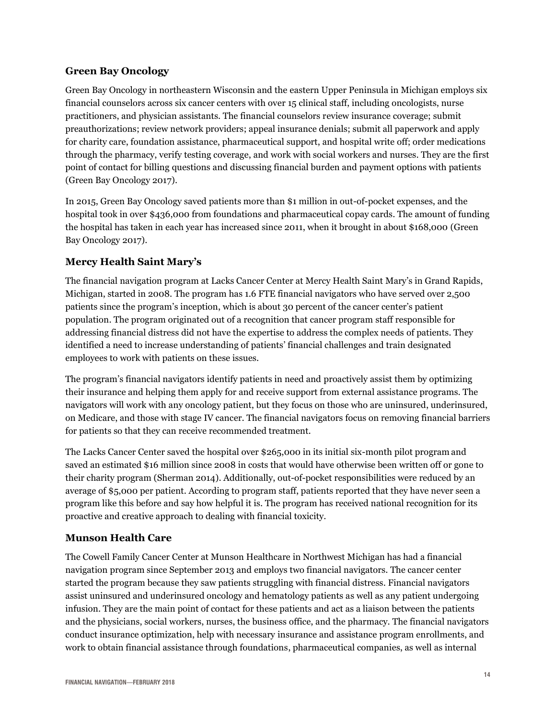#### <span id="page-13-0"></span>**Green Bay Oncology**

Green Bay Oncology in northeastern Wisconsin and the eastern Upper Peninsula in Michigan employs six financial counselors across six cancer centers with over 15 clinical staff, including oncologists, nurse practitioners, and physician assistants. The financial counselors review insurance coverage; submit preauthorizations; review network providers; appeal insurance denials; submit all paperwork and apply for charity care, foundation assistance, pharmaceutical support, and hospital write off; order medications through the pharmacy, verify testing coverage, and work with social workers and nurses. They are the first point of contact for billing questions and discussing financial burden and payment options with patients (Green Bay Oncology 2017).

In 2015, Green Bay Oncology saved patients more than \$1 million in out-of-pocket expenses, and the hospital took in over \$436,000 from foundations and pharmaceutical copay cards. The amount of funding the hospital has taken in each year has increased since 2011, when it brought in about \$168,000 (Green Bay Oncology 2017).

#### <span id="page-13-1"></span>**Mercy Health Saint Mary's**

The financial navigation program at Lacks Cancer Center at Mercy Health Saint Mary's in Grand Rapids, Michigan, started in 2008. The program has 1.6 FTE financial navigators who have served over 2,500 patients since the program's inception, which is about 30 percent of the cancer center's patient population. The program originated out of a recognition that cancer program staff responsible for addressing financial distress did not have the expertise to address the complex needs of patients. They identified a need to increase understanding of patients' financial challenges and train designated employees to work with patients on these issues.

The program's financial navigators identify patients in need and proactively assist them by optimizing their insurance and helping them apply for and receive support from external assistance programs. The navigators will work with any oncology patient, but they focus on those who are uninsured, underinsured, on Medicare, and those with stage IV cancer. The financial navigators focus on removing financial barriers for patients so that they can receive recommended treatment.

The Lacks Cancer Center saved the hospital over \$265,000 in its initial six-month pilot program and saved an estimated \$16 million since 2008 in costs that would have otherwise been written off or gone to their charity program (Sherman 2014). Additionally, out-of-pocket responsibilities were reduced by an average of \$5,000 per patient. According to program staff, patients reported that they have never seen a program like this before and say how helpful it is. The program has received national recognition for its proactive and creative approach to dealing with financial toxicity.

#### <span id="page-13-2"></span>**Munson Health Care**

The Cowell Family Cancer Center at Munson Healthcare in Northwest Michigan has had a financial navigation program since September 2013 and employs two financial navigators. The cancer center started the program because they saw patients struggling with financial distress. Financial navigators assist uninsured and underinsured oncology and hematology patients as well as any patient undergoing infusion. They are the main point of contact for these patients and act as a liaison between the patients and the physicians, social workers, nurses, the business office, and the pharmacy. The financial navigators conduct insurance optimization, help with necessary insurance and assistance program enrollments, and work to obtain financial assistance through foundations, pharmaceutical companies, as well as internal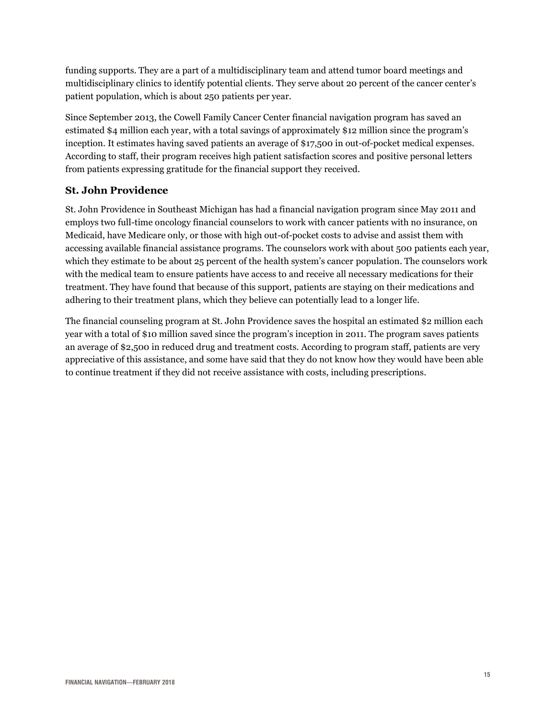funding supports. They are a part of a multidisciplinary team and attend tumor board meetings and multidisciplinary clinics to identify potential clients. They serve about 20 percent of the cancer center's patient population, which is about 250 patients per year.

Since September 2013, the Cowell Family Cancer Center financial navigation program has saved an estimated \$4 million each year, with a total savings of approximately \$12 million since the program's inception. It estimates having saved patients an average of \$17,500 in out-of-pocket medical expenses. According to staff, their program receives high patient satisfaction scores and positive personal letters from patients expressing gratitude for the financial support they received.

#### <span id="page-14-0"></span>**St. John Providence**

St. John Providence in Southeast Michigan has had a financial navigation program since May 2011 and employs two full-time oncology financial counselors to work with cancer patients with no insurance, on Medicaid, have Medicare only, or those with high out-of-pocket costs to advise and assist them with accessing available financial assistance programs. The counselors work with about 500 patients each year, which they estimate to be about 25 percent of the health system's cancer population. The counselors work with the medical team to ensure patients have access to and receive all necessary medications for their treatment. They have found that because of this support, patients are staying on their medications and adhering to their treatment plans, which they believe can potentially lead to a longer life.

The financial counseling program at St. John Providence saves the hospital an estimated \$2 million each year with a total of \$10 million saved since the program's inception in 2011. The program saves patients an average of \$2,500 in reduced drug and treatment costs. According to program staff, patients are very appreciative of this assistance, and some have said that they do not know how they would have been able to continue treatment if they did not receive assistance with costs, including prescriptions.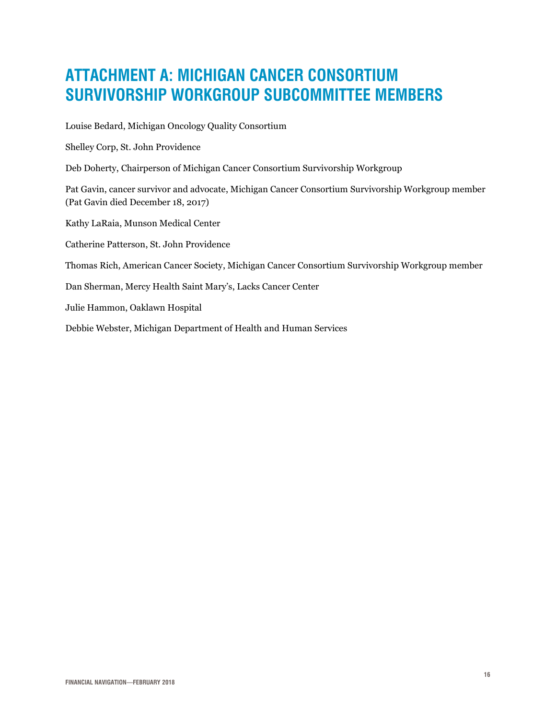# <span id="page-15-0"></span>**ATTACHMENT A: MICHIGAN CANCER CONSORTIUM SURVIVORSHIP WORKGROUP SUBCOMMITTEE MEMBERS**

Louise Bedard, Michigan Oncology Quality Consortium

Shelley Corp, St. John Providence

Deb Doherty, Chairperson of Michigan Cancer Consortium Survivorship Workgroup

Pat Gavin, cancer survivor and advocate, Michigan Cancer Consortium Survivorship Workgroup member (Pat Gavin died December 18, 2017)

Kathy LaRaia, Munson Medical Center

Catherine Patterson, St. John Providence

Thomas Rich, American Cancer Society, Michigan Cancer Consortium Survivorship Workgroup member

Dan Sherman, Mercy Health Saint Mary's, Lacks Cancer Center

Julie Hammon, Oaklawn Hospital

Debbie Webster, Michigan Department of Health and Human Services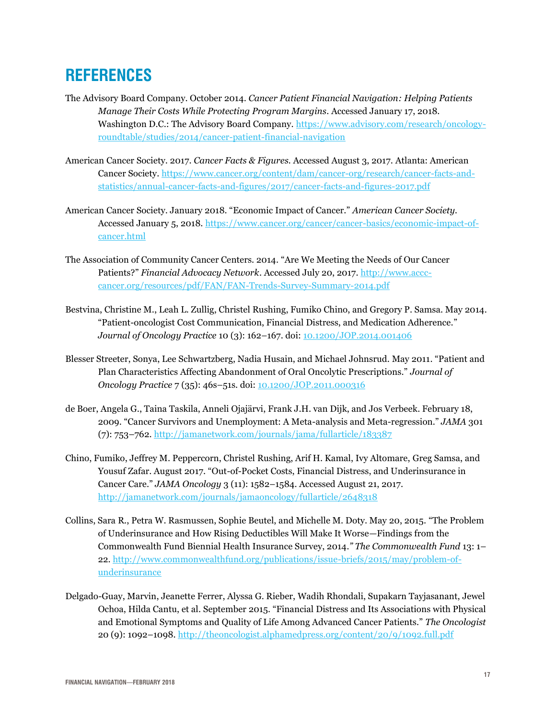## <span id="page-16-0"></span>**REFERENCES**

- The Advisory Board Company. October 2014. *Cancer Patient Financial Navigation: Helping Patients Manage Their Costs While Protecting Program Margins*. Accessed January 17, 2018. Washington D.C.: The Advisory Board Company. [https://www.advisory.com/research/oncology](https://www.advisory.com/research/oncology-roundtable/studies/2014/cancer-patient-financial-navigation)[roundtable/studies/2014/cancer-patient-financial-navigation](https://www.advisory.com/research/oncology-roundtable/studies/2014/cancer-patient-financial-navigation)
- American Cancer Society. 2017. *Cancer Facts & Figures.* Accessed August 3, 2017. Atlanta: American Cancer Society. [https://www.cancer.org/content/dam/cancer-org/research/cancer-facts-and](https://www.cancer.org/content/dam/cancer-org/research/cancer-facts-and-statistics/annual-cancer-facts-and-figures/2017/cancer-facts-and-figures-2017.pdf)[statistics/annual-cancer-facts-and-figures/2017/cancer-facts-and-figures-2017.pdf](https://www.cancer.org/content/dam/cancer-org/research/cancer-facts-and-statistics/annual-cancer-facts-and-figures/2017/cancer-facts-and-figures-2017.pdf)
- American Cancer Society. January 2018. "Economic Impact of Cancer." *American Cancer Society.*  Accessed January 5, 2018. [https://www.cancer.org/cancer/cancer-basics/economic-impact-of](https://www.cancer.org/cancer/cancer-basics/economic-impact-of-cancer.html)[cancer.html](https://www.cancer.org/cancer/cancer-basics/economic-impact-of-cancer.html)
- The Association of Community Cancer Centers. 2014. "Are We Meeting the Needs of Our Cancer Patients?" *Financial Advocacy Network*. Accessed July 20, 2017. [http://www.accc](http://www.accc-cancer.org/resources/pdf/FAN/FAN-Trends-Survey-Summary-2014.pdf)[cancer.org/resources/pdf/FAN/FAN-Trends-Survey-Summary-2014.pdf](http://www.accc-cancer.org/resources/pdf/FAN/FAN-Trends-Survey-Summary-2014.pdf)
- Bestvina, Christine M., Leah L. Zullig, Christel Rushing, Fumiko Chino, and Gregory P. Samsa. May 2014. "Patient-oncologist Cost Communication, Financial Distress, and Medication Adherence." *Journal of Oncology Practice* 10 (3): 162–167. doi: [10.1200/JOP.2014.001406](http://ascopubs.org/doi/10.1200/JOP.2014.001406)
- Blesser Streeter, Sonya, Lee Schwartzberg, Nadia Husain, and Michael Johnsrud. May 2011. "Patient and Plan Characteristics Affecting Abandonment of Oral Oncolytic Prescriptions." *Journal of Oncology Practice* 7 (35): 46s–51s. doi: [10.1200/JOP.2011.000316](http://ascopubs.org/doi/abs/10.1200/jop.2011.000316)
- de Boer, Angela G., Taina Taskila, Anneli Ojajärvi, Frank J.H. van Dijk, and Jos Verbeek. February 18, 2009. "Cancer Survivors and Unemployment: A Meta-analysis and Meta-regression." *JAMA* 301 (7): 753–762[. http://jamanetwork.com/journals/jama/fullarticle/183387](http://jamanetwork.com/journals/jama/fullarticle/183387)
- Chino, Fumiko, Jeffrey M. Peppercorn, Christel Rushing, Arif H. Kamal, Ivy Altomare, Greg Samsa, and Yousuf Zafar. August 2017. "Out-of-Pocket Costs, Financial Distress, and Underinsurance in Cancer Care." *JAMA Oncology* 3 (11): 1582–1584. Accessed August 21, 2017. <http://jamanetwork.com/journals/jamaoncology/fullarticle/2648318>
- Collins, Sara R., Petra W. Rasmussen, Sophie Beutel, and Michelle M. Doty. May 20, 2015. "The Problem of Underinsurance and How Rising Deductibles Will Make It Worse—Findings from the Commonwealth Fund Biennial Health Insurance Survey, 2014*." The Commonwealth Fund* 13: 1– 22. [http://www.commonwealthfund.org/publications/issue-briefs/2015/may/problem-of](http://www.commonwealthfund.org/publications/issue-briefs/2015/may/problem-of-underinsurance)[underinsurance](http://www.commonwealthfund.org/publications/issue-briefs/2015/may/problem-of-underinsurance)
- Delgado-Guay, Marvin, Jeanette Ferrer, Alyssa G. Rieber, Wadih Rhondali, Supakarn Tayjasanant, Jewel Ochoa, Hilda Cantu, et al. September 2015. "Financial Distress and Its Associations with Physical and Emotional Symptoms and Quality of Life Among Advanced Cancer Patients." *The Oncologist* 20 (9): 1092–1098.<http://theoncologist.alphamedpress.org/content/20/9/1092.full.pdf>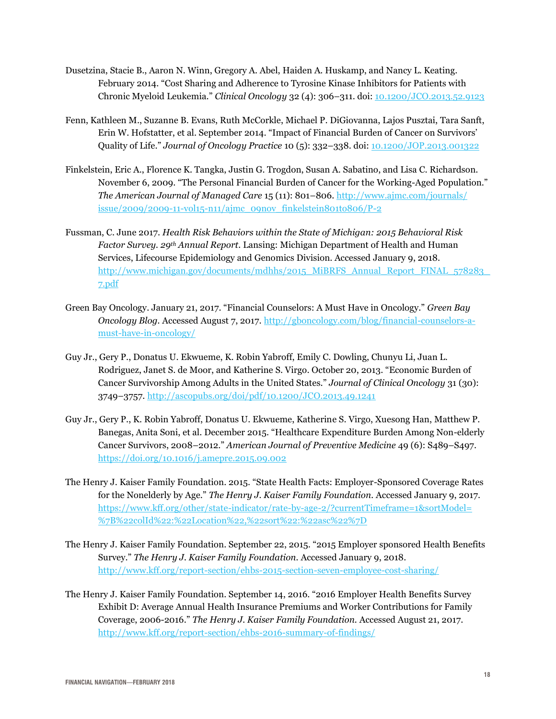- Dusetzina, Stacie B., Aaron N. Winn, Gregory A. Abel, Haiden A. Huskamp, and Nancy L. Keating. February 2014. "Cost Sharing and Adherence to Tyrosine Kinase Inhibitors for Patients with Chronic Myeloid Leukemia." *Clinical Oncology* 32 (4): 306–311. doi: [10.1200/JCO.2013.52.9123](http://ascopubs.org/doi/full/10.1200/JCO.2013.52.9123)
- Fenn, Kathleen M., Suzanne B. Evans, Ruth McCorkle, Michael P. DiGiovanna, Lajos Pusztai, Tara Sanft, Erin W. Hofstatter, et al. September 2014. "Impact of Financial Burden of Cancer on Survivors' Quality of Life." *Journal of Oncology Practice* 10 (5): 332–338. doi: [10.1200/JOP.2013.001322](http://ascopubs.org/doi/full/10.1200/JOP.2013.001322)
- Finkelstein, Eric A., Florence K. Tangka, Justin G. Trogdon, Susan A. Sabatino, and Lisa C. Richardson. November 6, 2009. "The Personal Financial Burden of Cancer for the Working-Aged Population." *The American Journal of Managed Care* 15 (11): 801–806[. http://www.ajmc.com/journals/](http://www.ajmc.com/journals/issue/2009/2009-11-vol15-n11/ajmc_09nov_finkelstein801to806/P-2) [issue/2009/2009-11-vol15-n11/ajmc\\_09nov\\_finkelstein801to806/P-2](http://www.ajmc.com/journals/issue/2009/2009-11-vol15-n11/ajmc_09nov_finkelstein801to806/P-2)
- Fussman, C. June 2017. *Health Risk Behaviors within the State of Michigan: 2015 Behavioral Risk Factor Survey. 29th Annual Report.* Lansing: Michigan Department of Health and Human Services, Lifecourse Epidemiology and Genomics Division. Accessed January 9, 2018. [http://www.michigan.gov/documents/mdhhs/2015\\_MiBRFS\\_Annual\\_Report\\_FINAL\\_578283\\_](http://www.michigan.gov/documents/mdhhs/2015_MiBRFS_Annual_Report_FINAL_578283_7.pdf) [7.pdf](http://www.michigan.gov/documents/mdhhs/2015_MiBRFS_Annual_Report_FINAL_578283_7.pdf)
- Green Bay Oncology. January 21, 2017. "Financial Counselors: A Must Have in Oncology." *Green Bay Oncology Blog.* Accessed August 7, 2017[. http://gboncology.com/blog/financial-counselors-a](http://gboncology.com/blog/financial-counselors-a-must-have-in-oncology/)[must-have-in-oncology/](http://gboncology.com/blog/financial-counselors-a-must-have-in-oncology/)
- Guy Jr., Gery P., Donatus U. Ekwueme, K. Robin Yabroff, Emily C. Dowling, Chunyu Li, Juan L. Rodriguez, Janet S. de Moor, and Katherine S. Virgo. October 20, 2013. "Economic Burden of Cancer Survivorship Among Adults in the United States." *Journal of Clinical Oncology* 31 (30): 3749–3757. <http://ascopubs.org/doi/pdf/10.1200/JCO.2013.49.1241>
- Guy Jr., Gery P., K. Robin Yabroff, Donatus U. Ekwueme, Katherine S. Virgo, Xuesong Han, Matthew P. Banegas, Anita Soni, et al. December 2015. "Healthcare Expenditure Burden Among Non-elderly Cancer Survivors, 2008–2012." *American Journal of Preventive Medicine* 49 (6): S489–S497. <https://doi.org/10.1016/j.amepre.2015.09.002>
- The Henry J. Kaiser Family Foundation. 2015. "State Health Facts: Employer-Sponsored Coverage Rates for the Nonelderly by Age." *The Henry J. Kaiser Family Foundation.* Accessed January 9, 2017. [https://www.kff.org/other/state-indicator/rate-by-age-2/?currentTimeframe=1&sortModel=](https://www.kff.org/other/state-indicator/rate-by-age-2/?currentTimeframe=1&sortModel=%7B%22colId%22:%22Location%22,%22sort%22:%22asc%22%7D) [%7B%22colId%22:%22Location%22,%22sort%22:%22asc%22%7D](https://www.kff.org/other/state-indicator/rate-by-age-2/?currentTimeframe=1&sortModel=%7B%22colId%22:%22Location%22,%22sort%22:%22asc%22%7D)
- The Henry J. Kaiser Family Foundation. September 22, 2015. "2015 Employer sponsored Health Benefits Survey." *The Henry J. Kaiser Family Foundation.* Accessed January 9, 2018. <http://www.kff.org/report-section/ehbs-2015-section-seven-employee-cost-sharing/>
- The Henry J. Kaiser Family Foundation. September 14, 2016. "2016 Employer Health Benefits Survey Exhibit D: Average Annual Health Insurance Premiums and Worker Contributions for Family Coverage, 2006-2016." *The Henry J. Kaiser Family Foundation.* Accessed August 21, 2017. <http://www.kff.org/report-section/ehbs-2016-summary-of-findings/>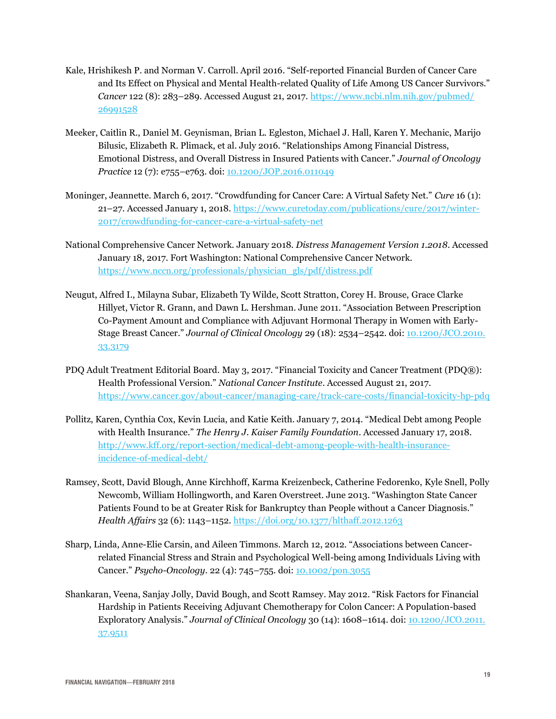- Kale, Hrishikesh P. and Norman V. Carroll. April 2016. "Self-reported Financial Burden of Cancer Care and Its Effect on Physical and Mental Health-related Quality of Life Among US Cancer Survivors." *Cancer* 122 (8): 283–289. Accessed August 21, 2017. [https://www.ncbi.nlm.nih.gov/pubmed/](https://www.ncbi.nlm.nih.gov/pubmed/26991528) [26991528](https://www.ncbi.nlm.nih.gov/pubmed/26991528)
- Meeker, Caitlin R., Daniel M. Geynisman, Brian L. Egleston, Michael J. Hall, Karen Y. Mechanic, Marijo Bilusic, Elizabeth R. Plimack, et al. July 2016. "Relationships Among Financial Distress, Emotional Distress, and Overall Distress in Insured Patients with Cancer." *Journal of Oncology Practice* 12 (7): e755–e763. doi: [10.1200/JOP.2016.011049](http://ascopubs.org/doi/10.1200/JOP.2016.011049)
- Moninger, Jeannette. March 6, 2017. "Crowdfunding for Cancer Care: A Virtual Safety Net." *Cure* 16 (1): 21–27. Accessed January 1, 2018. [https://www.curetoday.com/publications/cure/2017/winter-](https://www.curetoday.com/publications/cure/2017/winter-2017/crowdfunding-for-cancer-care-a-virtual-safety-net)[2017/crowdfunding-for-cancer-care-a-virtual-safety-net](https://www.curetoday.com/publications/cure/2017/winter-2017/crowdfunding-for-cancer-care-a-virtual-safety-net)
- National Comprehensive Cancer Network. January 2018. *Distress Management Version 1.2018*. Accessed January 18, 2017. Fort Washington: National Comprehensive Cancer Network. [https://www.nccn.org/professionals/physician\\_gls/pdf/distress.pdf](https://www.nccn.org/professionals/physician_gls/pdf/distress.pdf)
- Neugut, Alfred I., Milayna Subar, Elizabeth Ty Wilde, Scott Stratton, Corey H. Brouse, Grace Clarke Hillyet, Victor R. Grann, and Dawn L. Hershman. June 2011. "Association Between Prescription Co-Payment Amount and Compliance with Adjuvant Hormonal Therapy in Women with Early-Stage Breast Cancer." *Journal of Clinical Oncology* 29 (18): 2534–2542. doi: [10.1200/JCO.2010.](http://ascopubs.org/doi/10.1200/JCO.2010.33.3179) [33.3179](http://ascopubs.org/doi/10.1200/JCO.2010.33.3179)
- PDQ Adult Treatment Editorial Board. May 3, 2017. "Financial Toxicity and Cancer Treatment (PDQ®): Health Professional Version." *National Cancer Institute*. Accessed August 21, 2017. <https://www.cancer.gov/about-cancer/managing-care/track-care-costs/financial-toxicity-hp-pdq>
- Pollitz, Karen, Cynthia Cox, Kevin Lucia, and Katie Keith. January 7, 2014. "Medical Debt among People with Health Insurance." *The Henry J. Kaiser Family Foundation*. Accessed January 17, 2018. [http://www.kff.org/report-section/medical-debt-among-people-with-health-insurance](http://www.kff.org/report-section/medical-debt-among-people-with-health-insurance-incidence-of-medical-debt/)[incidence-of-medical-debt/](http://www.kff.org/report-section/medical-debt-among-people-with-health-insurance-incidence-of-medical-debt/)
- Ramsey, Scott, David Blough, Anne Kirchhoff, Karma Kreizenbeck, Catherine Fedorenko, Kyle Snell, Polly Newcomb, William Hollingworth, and Karen Overstreet. June 2013. "Washington State Cancer Patients Found to be at Greater Risk for Bankruptcy than People without a Cancer Diagnosis." *Health Affairs* 32 (6): 1143–1152.<https://doi.org/10.1377/hlthaff.2012.1263>
- Sharp, Linda, Anne-Elie Carsin, and Aileen Timmons. March 12, 2012. "Associations between Cancerrelated Financial Stress and Strain and Psychological Well-being among Individuals Living with Cancer." *Psycho-Oncology*. 22 (4): 745–755. doi: [10.1002/pon.3055](http://onlinelibrary.wiley.com/doi/10.1002/pon.3055/abstract)
- Shankaran, Veena, Sanjay Jolly, David Bough, and Scott Ramsey. May 2012. "Risk Factors for Financial Hardship in Patients Receiving Adjuvant Chemotherapy for Colon Cancer: A Population-based Exploratory Analysis." *Journal of Clinical Oncology* 30 (14): 1608–1614. doi: [10.1200/JCO.2011.](http://ascopubs.org/doi/full/10.1200/JCO.2011.37.9511) [37.9511](http://ascopubs.org/doi/full/10.1200/JCO.2011.37.9511)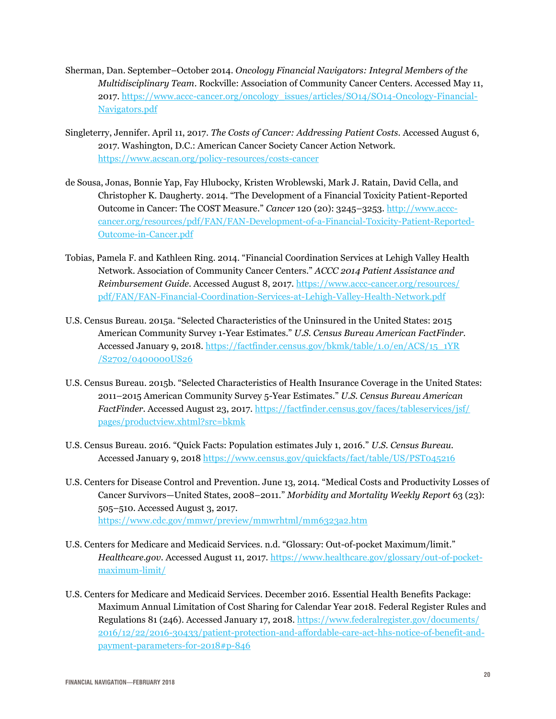- Sherman, Dan. September–October 2014. *Oncology Financial Navigators: Integral Members of the Multidisciplinary Team*. Rockville: Association of Community Cancer Centers. Accessed May 11, 2017. [https://www.accc-cancer.org/oncology\\_issues/articles/SO14/SO14-Oncology-Financial-](https://www.accc-cancer.org/oncology_issues/articles/SO14/SO14-Oncology-Financial-Navigators.pdf)[Navigators.pdf](https://www.accc-cancer.org/oncology_issues/articles/SO14/SO14-Oncology-Financial-Navigators.pdf)
- Singleterry, Jennifer. April 11, 2017. *The Costs of Cancer: Addressing Patient Costs.* Accessed August 6, 2017. Washington, D.C.: American Cancer Society Cancer Action Network. <https://www.acscan.org/policy-resources/costs-cancer>
- de Sousa, Jonas, Bonnie Yap, Fay Hlubocky, Kristen Wroblewski, Mark J. Ratain, David Cella, and Christopher K. Daugherty. 2014. "The Development of a Financial Toxicity Patient-Reported Outcome in Cancer: The COST Measure." *Cancer* 120 (20): 3245–3253. [http://www.accc](http://www.accc-cancer.org/resources/pdf/FAN/FAN-Development-of-a-Financial-Toxicity-Patient-Reported-Outcome-in-Cancer.pdf)[cancer.org/resources/pdf/FAN/FAN-Development-of-a-Financial-Toxicity-Patient-Reported-](http://www.accc-cancer.org/resources/pdf/FAN/FAN-Development-of-a-Financial-Toxicity-Patient-Reported-Outcome-in-Cancer.pdf)[Outcome-in-Cancer.pdf](http://www.accc-cancer.org/resources/pdf/FAN/FAN-Development-of-a-Financial-Toxicity-Patient-Reported-Outcome-in-Cancer.pdf)
- Tobias, Pamela F. and Kathleen Ring. 2014. "Financial Coordination Services at Lehigh Valley Health Network. Association of Community Cancer Centers." *ACCC 2014 Patient Assistance and Reimbursement Guide.* Accessed August 8, 2017. [https://www.accc-cancer.org/resources/](https://www.accc-cancer.org/resources/pdf/FAN/FAN-Financial-Coordination-Services-at-Lehigh-Valley-Health-Network.pdf) [pdf/FAN/FAN-Financial-Coordination-Services-at-Lehigh-Valley-Health-Network.pdf](https://www.accc-cancer.org/resources/pdf/FAN/FAN-Financial-Coordination-Services-at-Lehigh-Valley-Health-Network.pdf)
- U.S. Census Bureau. 2015a. "Selected Characteristics of the Uninsured in the United States: 2015 American Community Survey 1-Year Estimates." *U.S. Census Bureau American FactFinder.*  Accessed January 9, 2018. [https://factfinder.census.gov/bkmk/table/1.0/en/ACS/15\\_1YR](https://factfinder.census.gov/bkmk/table/1.0/en/ACS/15_1YR/S2702/0400000US26) [/S2702/0400000US26](https://factfinder.census.gov/bkmk/table/1.0/en/ACS/15_1YR/S2702/0400000US26)
- U.S. Census Bureau. 2015b. "Selected Characteristics of Health Insurance Coverage in the United States: 2011–2015 American Community Survey 5-Year Estimates." *U.S. Census Bureau American FactFinder.* Accessed August 23, 2017. [https://factfinder.census.gov/faces/tableservices/jsf/](https://factfinder.census.gov/faces/tableservices/jsf/pages/productview.xhtml?src=bkmk) [pages/productview.xhtml?src=bkmk](https://factfinder.census.gov/faces/tableservices/jsf/pages/productview.xhtml?src=bkmk)
- U.S. Census Bureau. 2016. "Quick Facts: Population estimates July 1, 2016." *U.S. Census Bureau.* Accessed January 9, 2018<https://www.census.gov/quickfacts/fact/table/US/PST045216>
- U.S. Centers for Disease Control and Prevention. June 13, 2014. "Medical Costs and Productivity Losses of Cancer Survivors—United States, 2008–2011." *Morbidity and Mortality Weekly Report* 63 (23): 505–510. Accessed August 3, 2017. <https://www.cdc.gov/mmwr/preview/mmwrhtml/mm6323a2.htm>
- U.S. Centers for Medicare and Medicaid Services. n.d. "Glossary: Out-of-pocket Maximum/limit." *Healthcare.gov.* Accessed August 11, 2017. [https://www.healthcare.gov/glossary/out-of-pocket](https://www.healthcare.gov/glossary/out-of-pocket-maximum-limit/)[maximum-limit/](https://www.healthcare.gov/glossary/out-of-pocket-maximum-limit/)
- U.S. Centers for Medicare and Medicaid Services. December 2016. Essential Health Benefits Package: Maximum Annual Limitation of Cost Sharing for Calendar Year 2018. Federal Register Rules and Regulations 81 (246). Accessed January 17, 2018. [https://www.federalregister.gov/documents/](https://www.federalregister.gov/documents/2016/12/22/2016-30433/patient-protection-and-affordable-care-act-hhs-notice-of-benefit-and-payment-parameters-for-2018#p-846) [2016/12/22/2016-30433/patient-protection-and-affordable-care-act-hhs-notice-of-benefit-and](https://www.federalregister.gov/documents/2016/12/22/2016-30433/patient-protection-and-affordable-care-act-hhs-notice-of-benefit-and-payment-parameters-for-2018#p-846)[payment-parameters-for-2018#p-846](https://www.federalregister.gov/documents/2016/12/22/2016-30433/patient-protection-and-affordable-care-act-hhs-notice-of-benefit-and-payment-parameters-for-2018#p-846)